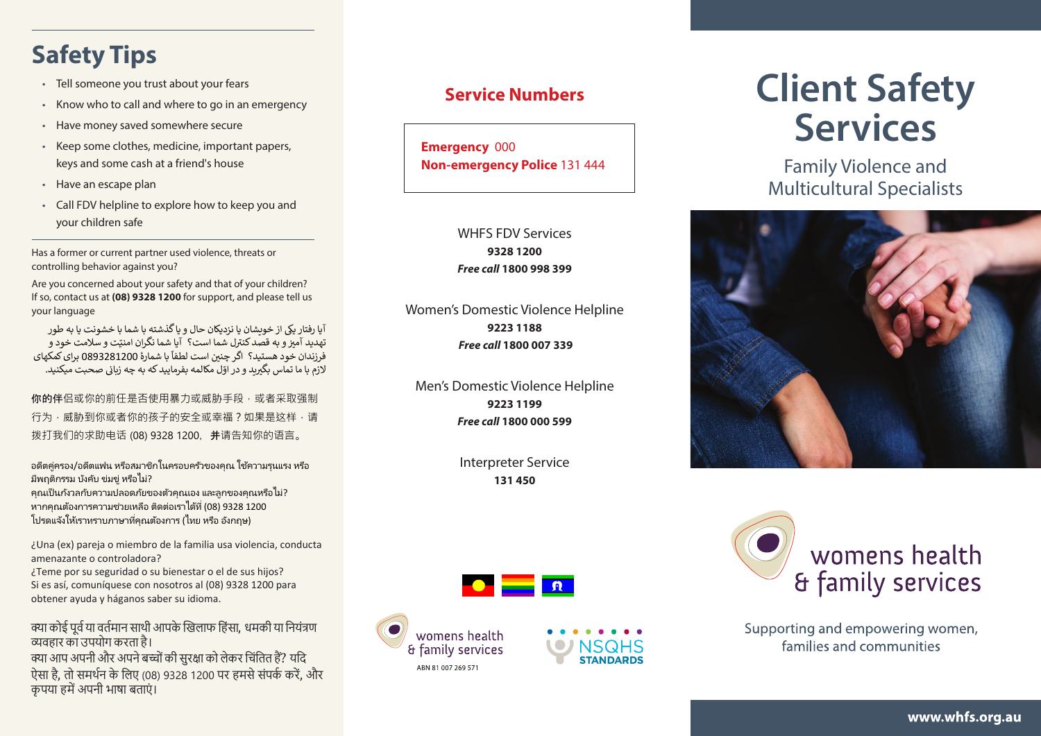## **Safety Tips**

- Tell someone you trust about your fears
- Know who to call and where to go in an emergency
- Have money saved somewhere secure
- Keep some clothes, medicine, important papers, keys and some cash at a friend's house
- Have an escape plan
- Call FDV helpline to explore how to keep you and your children safe

Has a former or current partner used violence, threats or controlling behavior against you?

Are you concerned about your safety and that of your children? If so, contact us at **(08) 9328 1200** for support, and please tell us your language

آیا رفتار یکی از خویشان یا نزدیکان حال و یا گذشته با شما با خشونت یا به طور .<br>تهدید آمیز و به قصد کنترل شما است؟ آیا شما نگران امنتت و سلامت خود و .<br>فرزندان خود هستید؟ اگر چنین است لطفاً با شمارۀ 0893281200 برای کمکهای لازم با ما تماس بگ<del>ر</del>ید و در اوّل مکالمه بفرمایید که به چه زبانی صحبت میکنید.

你的伴侣或你的前任是否使用暴力或威胁手段,或者采取强制 行为,威胁到你或者你的孩子的安全或幸福?如果是这样,请 拨打我们的求助电话 (08) 9328 1200,并请告知你的语言。

้อดีตคู่ครอง/อดีตแฟน หรือสมาชิกในครอบครัวของคุณ ใช้ความรุนแรง หรือ มีพฤติกรรม บังคับ ข่มขู่ หรือไม่?

คุณเป็ นกังวลกับความปลอดภัยของตัวคุณเอง และลูกของคุณหรือไม่? หากคุณต้องการความช่วยเหลือ ติดต่อเราได้ที่ (08) 9328 1200 โปรดแจ้งให้เราทราบภาษาที่คณต้องการ (ไทย หรือ อังกถษ)

¿Una (ex) pareja o miembro de la familia usa violencia, conducta amenazante o controladora?

¿Teme por su seguridad o su bienestar o el de sus hijos? Si es así, comuníquese con nosotros al (08) 9328 1200 para obtener ayuda y háganos saber su idioma.

क्या कोई पूर्व या वर्तमान साथी आपके खिलाफ हिंसा, धमकी या नियंत्रण =वहार का उपयोग करता है। क्या आप अपनी और अपने बच्चों की सरक्षा को लेकर चिंतित हैं? यदि

ऐसा है, तो समर्थन के लिए (08) 9328 1200 पर हमसे संपर्क करें, और कपया हमें अपनी भाषा बताएं ।

### **Service Numbers**

**Emergency** 000 **Non-emergency Police** 131 444

#### WHFS FDV Services **9328 1200** *Free call* **1800 998 399**

Women's Domestic Violence Helpline **9223 1188**  *Free call* **1800 007 339**

Men's Domestic Violence Helpline **9223 1199** *Free call* **1800 000 599**

> Interpreter Service **131 450**







# **Client Safety Services**

Family Violence and Multicultural Specialists





Supporting and empowering women, families and communities